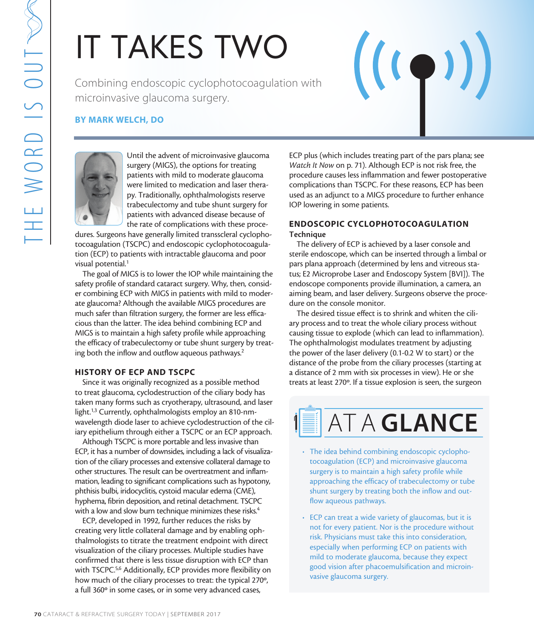# IT TAKES TWO

Combining endoscopic cyclophotocoagulation with microinvasive glaucoma surgery.

#### BY MARK WELCH, DO



Until the advent of microinvasive glaucoma surgery (MIGS), the options for treating patients with mild to moderate glaucoma were limited to medication and laser therapy. Traditionally, ophthalmologists reserve trabeculectomy and tube shunt surgery for patients with advanced disease because of the rate of complications with these proce-

dures. Surgeons have generally limited transscleral cyclophotocoagulation (TSCPC) and endoscopic cyclophotocoagulation (ECP) to patients with intractable glaucoma and poor visual potential.<sup>1</sup>

7 Combining endoscopic cyclop<br>
microinvasive glaucoma surget<br>
8Y MARK WELCH, DO<br>
1987 MARK WELCH, DO<br>
1987 MARK WELCH, DO<br>
1997 Traditionally, ophibal to modern surget<br>
were limited to medicine with midd to modern with mid The goal of MIGS is to lower the IOP while maintaining the safety profile of standard cataract surgery. Why, then, consider combining ECP with MIGS in patients with mild to moderate glaucoma? Although the available MIGS procedures are much safer than filtration surgery, the former are less efficacious than the latter. The idea behind combining ECP and MIGS is to maintain a high safety profile while approaching the efficacy of trabeculectomy or tube shunt surgery by treating both the inflow and outflow aqueous pathways.<sup>2</sup>

#### HISTORY OF ECP AND TSCPC

Since it was originally recognized as a possible method to treat glaucoma, cyclodestruction of the ciliary body has taken many forms such as cryotherapy, ultrasound, and laser light.<sup>1,3</sup> Currently, ophthalmologists employ an 810-nmwavelength diode laser to achieve cyclodestruction of the ciliary epithelium through either a TSCPC or an ECP approach.

Although TSCPC is more portable and less invasive than ECP, it has a number of downsides, including a lack of visualization of the ciliary processes and extensive collateral damage to other structures. The result can be overtreatment and inflammation, leading to significant complications such as hypotony, phthisis bulbi, iridocyclitis, cystoid macular edema (CME), hyphema, fibrin deposition, and retinal detachment. TSCPC with a low and slow burn technique minimizes these risks.<sup>4</sup>

ECP, developed in 1992, further reduces the risks by creating very little collateral damage and by enabling ophthalmologists to titrate the treatment endpoint with direct visualization of the ciliary processes. Multiple studies have confirmed that there is less tissue disruption with ECP than with TSCPC.<sup>5,6</sup> Additionally, ECP provides more flexibility on how much of the ciliary processes to treat: the typical 270º, a full 360º in some cases, or in some very advanced cases,

ECP plus (which includes treating part of the pars plana; see *Watch It Now* on p. 71). Although ECP is not risk free, the procedure causes less inflammation and fewer postoperative complications than TSCPC. For these reasons, ECP has been used as an adjunct to a MIGS procedure to further enhance IOP lowering in some patients.

 $((\bullet)$ 

#### ENDOSCOPIC CYCLOPHOTOCOAGULATION Technique

The delivery of ECP is achieved by a laser console and sterile endoscope, which can be inserted through a limbal or pars plana approach (determined by lens and vitreous status; E2 Microprobe Laser and Endoscopy System [BVI]). The endoscope components provide illumination, a camera, an aiming beam, and laser delivery. Surgeons observe the procedure on the console monitor.

The desired tissue effect is to shrink and whiten the ciliary process and to treat the whole ciliary process without causing tissue to explode (which can lead to inflammation). The ophthalmologist modulates treatment by adjusting the power of the laser delivery (0.1-0.2 W to start) or the distance of the probe from the ciliary processes (starting at a distance of 2 mm with six processes in view). He or she treats at least 270º. If a tissue explosion is seen, the surgeon

## **AT A GLANCE**

- The idea behind combining endoscopic cyclophotocoagulation (ECP) and microinvasive glaucoma surgery is to maintain a high safety profile while approaching the efficacy of trabeculectomy or tube shunt surgery by treating both the inflow and outflow aqueous pathways.
- ECP can treat a wide variety of glaucomas, but it is not for every patient. Nor is the procedure without risk. Physicians must take this into consideration, especially when performing ECP on patients with mild to moderate glaucoma, because they expect good vision after phacoemulsification and microinvasive glaucoma surgery.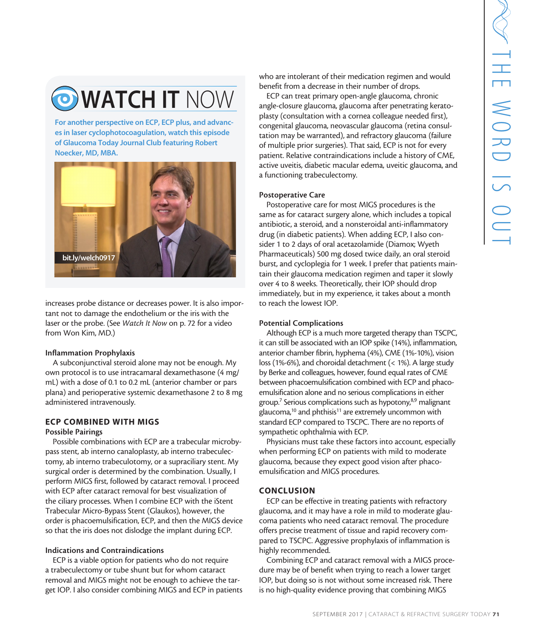## O WATCH IT NOW

For another perspective on ECP, ECP plus, and advances in laser cyclophotocoagulation, watch this episode of Glaucoma Today Journal Club featuring Robert Noecker, MD, MBA.



increases probe distance or decreases power. It is also important not to damage the endothelium or the iris with the laser or the probe. (See *Watch It Now* on p. 72 for a video from Won Kim, MD.)

#### Inflammation Prophylaxis

A subconjunctival steroid alone may not be enough. My own protocol is to use intracamaral dexamethasone (4 mg/ mL) with a dose of 0.1 to 0.2 mL (anterior chamber or pars plana) and perioperative systemic dexamethasone 2 to 8 mg administered intravenously.

#### ECP COMBINED WITH MIGS

#### Possible Pairings

Possible combinations with ECP are a trabecular microbypass stent, ab interno canaloplasty, ab interno trabeculectomy, ab interno trabeculotomy, or a supraciliary stent. My surgical order is determined by the combination. Usually, I perform MIGS first, followed by cataract removal. I proceed with ECP after cataract removal for best visualization of the ciliary processes. When I combine ECP with the iStent Trabecular Micro-Bypass Stent (Glaukos), however, the order is phacoemulsification, ECP, and then the MIGS device so that the iris does not dislodge the implant during ECP.

#### Indications and Contraindications

ECP is a viable option for patients who do not require a trabeculectomy or tube shunt but for whom cataract removal and MIGS might not be enough to achieve the target IOP. I also consider combining MIGS and ECP in patients

who are intolerant of their medication regimen and would benefit from a decrease in their number of drops.

ECP can treat primary open-angle glaucoma, chronic angle-closure glaucoma, glaucoma after penetrating keratoplasty (consultation with a cornea colleague needed first), congenital glaucoma, neovascular glaucoma (retina consultation may be warranted), and refractory glaucoma (failure of multiple prior surgeries). That said, ECP is not for every patient. Relative contraindications include a history of CME, active uveitis, diabetic macular edema, uveitic glaucoma, and a functioning trabeculectomy.

#### Postoperative Care

Postoperative care for most MIGS procedures is the same as for cataract surgery alone, which includes a topical antibiotic, a steroid, and a nonsteroidal anti-inflammatory drug (in diabetic patients). When adding ECP, I also consider 1 to 2 days of oral acetazolamide (Diamox; Wyeth Pharmaceuticals) 500 mg dosed twice daily, an oral steroid burst, and cycloplegia for 1 week. I prefer that patients maintain their glaucoma medication regimen and taper it slowly over 4 to 8 weeks. Theoretically, their IOP should drop immediately, but in my experience, it takes about a month to reach the lowest IOP.

#### Potential Complications

The other medication regimen and would<br>
exercase in their number of drops.<br>
thermany open angle glaucom, a chronic<br>
therman glaucom a fact penetrating kerato-<br>
com an heorascular glaucom (reliate consulting the<br>
tarmeted), Although ECP is a much more targeted therapy than TSCPC, it can still be associated with an IOP spike (14%), inflammation, anterior chamber fibrin, hyphema (4%), CME (1%-10%), vision loss (1%-6%), and choroidal detachment (< 1%). A large study by Berke and colleagues, however, found equal rates of CME between phacoemulsification combined with ECP and phacoemulsification alone and no serious complications in either group.<sup>7</sup> Serious complications such as hypotony,<sup>8,9</sup> malignant glaucoma, $10$  and phthisis<sup>11</sup> are extremely uncommon with standard ECP compared to TSCPC. There are no reports of sympathetic ophthalmia with ECP.

Physicians must take these factors into account, especially when performing ECP on patients with mild to moderate glaucoma, because they expect good vision after phacoemulsification and MIGS procedures.

#### **CONCLUSION**

ECP can be effective in treating patients with refractory glaucoma, and it may have a role in mild to moderate glaucoma patients who need cataract removal. The procedure offers precise treatment of tissue and rapid recovery compared to TSCPC. Aggressive prophylaxis of inflammation is highly recommended.

Combining ECP and cataract removal with a MIGS procedure may be of benefit when trying to reach a lower target IOP, but doing so is not without some increased risk. There is no high-quality evidence proving that combining MIGS